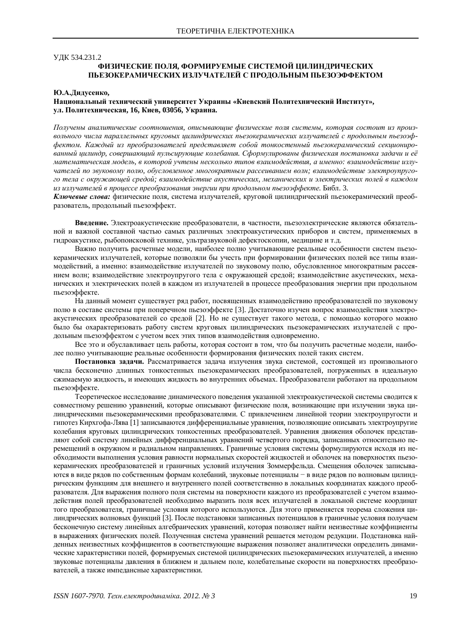#### **УЛК 534.231.2**

### **ɎɂɁɂɑȿɋɄɂȿɉɈɅə, ɎɈɊɆɂɊɍȿɆɕȿɋɂɋɌȿɆɈɃɐɂɅɂɇȾɊɂɑȿɋɄɂɏ** ПЬЕЗОКЕРАМИЧЕСКИХ ИЗЛУЧАТЕЛЕЙ С ПРОЛОЛЬНЫМ ПЬЕЗОЭФФЕКТОМ

#### **ɘȺȾɢɞɭɫɟɧɤɨ,**

### Национальный технический университет Украины «Киевский Политехнический Институт», **ɭɥ. ɉɨɥɢɬɟɯɧɢɱɟɫɤɚɹ, 16, Ʉɢɟɜ, 03056, ɍɤɪɚɢɧɚ.**

*ɉɨɥɭɱɟɧɵɚɧɚɥɢɬɢɱɟɫɤɢɟ ɫɨɨɬɧɨɲɟɧɢɹ, ɨɩɢɫɵɜɚɸɳɢɟɮɢɡɢɱɟɫɤɢɟ ɩɨɥɹɫɢɫɬɟɦɵ, ɤɨɬɨɪɚɹ ɫɨɫɬɨɢɬ ɢɡɩɪɨɢɡ*вольного числа параллельных круговых цилиндрических пьезокерамических излучателей с продольным пьезоэффектом. Каждый из преобразователей представляет собой тонкостенный пьезокерамический секционированный цилиндр, совершающий пульсирующие колебания. Сформулированы физическая постановка задачи и её *ɦɚɬɟɦɚɬɢɱɟɫɤɚɹɦɨɞɟɥɶ, ɜɤɨɬɨɪɨɣɭɱɬɟɧɵɧɟɫɤɨɥɶɤɨɬɢɩɨɜɜɡɚɢɦɨɞɟɣɫɬɜɢɹ, ɚɢɦɟɧɧɨ: ɜɡɚɢɦɨɞɟɣɫɬɜɢɟɢɡɥɭ*чателей по звуковому полю, обусловленное многократным рассеиванием волн; взаимодействие электроупругого тела с окружающей средой; взаимодействие акустических, механических и электрических полей в каждом из излучателей в процессе преобразования энергии при продольном пьезоэффекте. Библ. 3.

Ключевые слова: физические поля, система излучателей, круговой цилиндрический пьезокерамический преобразователь, продольный пьезоэффект.

Введение. Электроакустические преобразователи, в частности, пьезоэлектрические являются обязательной и важной составной частью самых различных электроакустических приборов и систем, применяемых в гидроакустике, рыбопоисковой технике, ультразвуковой дефектоскопии, медицине и т.д.

Важно получить расчетные модели, наиболее полно учитывающие реальные особенности систем пьезокерамических излучателей, которые позволяли бы учесть при формировании физических полей все типы взаимодействий, а именно: взаимодействие излучателей по звуковому полю, обусловленное многократным рассеянием волн; взаимодействие электроупругого тела с окружающей средой; взаимодействие акустических, механических и электрических полей в каждом из излучателей в процессе преобразования энергии при продольном пьезоэффекте.

На данный момент существует ряд работ, посвященных взаимодействию преобразователей по звуковому полю в составе системы при поперечном пьезоэффекте [3]. Достаточно изучен вопрос взаимодействия электроакустических преобразователей со средой [2]. Но не существует такого метода, с помощью которого можно было бы охарактеризовать работу систем круговых цилиндрических пьезокерамических излучателей с продольным пьезоэффектом с учетом всех этих типов взаимолействия одновременно.

Все это и обуславливает цель работы, которая состоит в том, что бы получить расчетные модели, наиболее полно учитывающие реальные особенности формирования физических полей таких систем.

Постановка задачи. Рассматривается задача излучения звука системой, состоящей из произвольного числа бесконечно длинных тонкостенных пьезокерамических преобразователей, погруженных в идеальную сжимаемую жидкость, и имеющих жидкость во внутренних объемах. Преобразователи работают на продольном пьезоэффекте.

Теоретическое исследование динамического поведения указанной электроакустической системы сводится к совместному решению уравнений, которые описывают физические поля, возникающие при излучении звука цилиндрическими пьезокерамическими преобразователями. С привлечением линейной теории электроупругости и гипотез Кирхгофа-Лява [1] записываются дифференциальные уравнения, позволяющие описывать электроупругие колебания круговых цилиндрических тонкостенных преобразователей. Уравнения движения оболочек представляют собой систему линейных дифференциальных уравнений четвертого порядка, записанных относительно перемещений в окружном и радиальном направлениях. Граничные условия системы формулируются исходя из необходимости выполнения условия равности нормальных скоростей жидкостей и оболочек на поверхностях пьезокерамических преобразователей и граничных условий излучения Зоммерфельда. Смещения оболочек записываются в виде рядов по собственным формам колебаний, звуковые потенциалы - в виде рядов по волновым цилиндрическим функциям для внешнего и внутреннего полей соответственно в локальных координатах каждого преобразователя. Для выражения полного поля системы на поверхности каждого из преобразователей с учетом взаимодействия полей преобразователей необходимо выразить поля всех излучателей в локальной системе координат того преобразователя, граничные условия которого используются. Для этого применяется теорема сложения цилиндрических волновых функций [3]. После подстановки записанных потенциалов в граничные условия получаем бесконечную систему линейных алгебраических уравнений, которая позволяет найти неизвестные коэффициенты в выражениях физических полей. Полученная система уравнений решается методом редукции. Подстановка найденных неизвестных коэффициентов в соответствующие выражения позволяет аналитически определить динамические характеристики полей, формируемых системой цилиндрических пьезокерамических излучателей, а именно звуковые потенциалы давления в ближнем и дальнем поле, колебательные скорости на поверхностях преобразователей, а также импедансные характеристики.